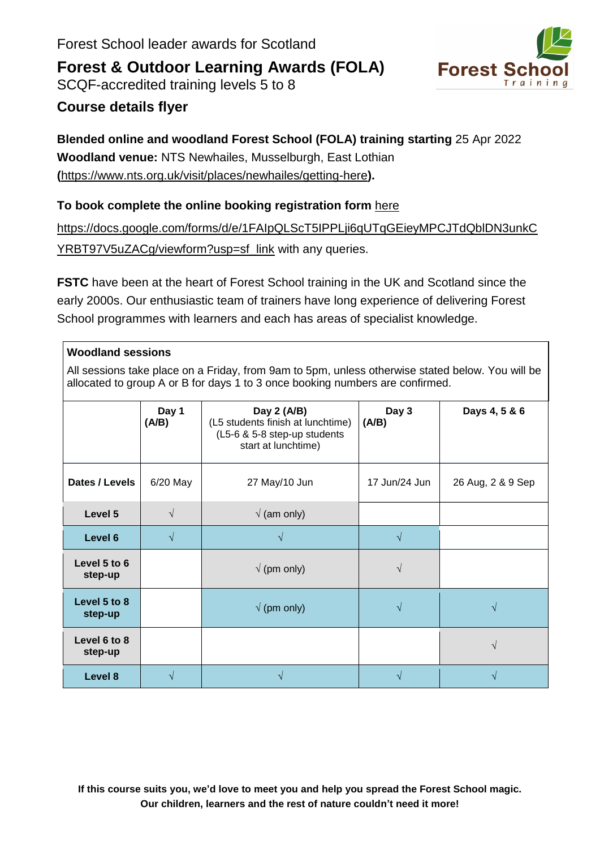



### **Course details flyer**

### **Blended online and woodland Forest School (FOLA) training starting** 25 Apr 2022 **Woodland venue:** NTS Newhailes, Musselburgh, East Lothian **(**<https://www.nts.org.uk/visit/places/newhailes/getting-here>**).**

#### **To book complete the online booking registration form** [here](https://docs.google.com/forms/d/e/1FAIpQLScT5IPPLji6qUTqGEieyMPCJTdQblDN3unkCYRBT97V5uZACg/viewform?usp=sf_link)

[https://docs.google.com/forms/d/e/1FAIpQLScT5IPPLji6qUTqGEieyMPCJTdQblDN3unkC](https://docs.google.com/forms/d/e/1FAIpQLScT5IPPLji6qUTqGEieyMPCJTdQblDN3unkCYRBT97V5uZACg/viewform?usp=sf_link) [YRBT97V5uZACg/viewform?usp=sf\\_link](https://docs.google.com/forms/d/e/1FAIpQLScT5IPPLji6qUTqGEieyMPCJTdQblDN3unkCYRBT97V5uZACg/viewform?usp=sf_link) with any queries.

**FSTC** have been at the heart of Forest School training in the UK and Scotland since the early 2000s. Our enthusiastic team of trainers have long experience of delivering Forest School programmes with learners and each has areas of specialist knowledge.

| <b>Woodland sessions</b>                                                                                                                                                          |                |                                                                                                         |                |                   |  |  |  |  |
|-----------------------------------------------------------------------------------------------------------------------------------------------------------------------------------|----------------|---------------------------------------------------------------------------------------------------------|----------------|-------------------|--|--|--|--|
| All sessions take place on a Friday, from 9am to 5pm, unless otherwise stated below. You will be<br>allocated to group A or B for days 1 to 3 once booking numbers are confirmed. |                |                                                                                                         |                |                   |  |  |  |  |
|                                                                                                                                                                                   | Day 1<br>(A/B) | Day 2 (A/B)<br>(L5 students finish at lunchtime)<br>(L5-6 & 5-8 step-up students<br>start at lunchtime) | Day 3<br>(A/B) | Days 4, 5 & 6     |  |  |  |  |
| Dates / Levels                                                                                                                                                                    | $6/20$ May     | 27 May/10 Jun                                                                                           | 17 Jun/24 Jun  | 26 Aug, 2 & 9 Sep |  |  |  |  |
| Level 5                                                                                                                                                                           | V              | $\sqrt{}$ (am only)                                                                                     |                |                   |  |  |  |  |
| Level 6                                                                                                                                                                           | V              |                                                                                                         |                |                   |  |  |  |  |
| Level 5 to 6<br>step-up                                                                                                                                                           |                | $\sqrt{}$ (pm only)                                                                                     |                |                   |  |  |  |  |
| Level 5 to 8<br>step-up                                                                                                                                                           |                | $\sqrt{}$ (pm only)                                                                                     |                |                   |  |  |  |  |
| Level 6 to 8<br>step-up                                                                                                                                                           |                |                                                                                                         |                | $\sqrt{}$         |  |  |  |  |
| Level 8                                                                                                                                                                           |                |                                                                                                         |                |                   |  |  |  |  |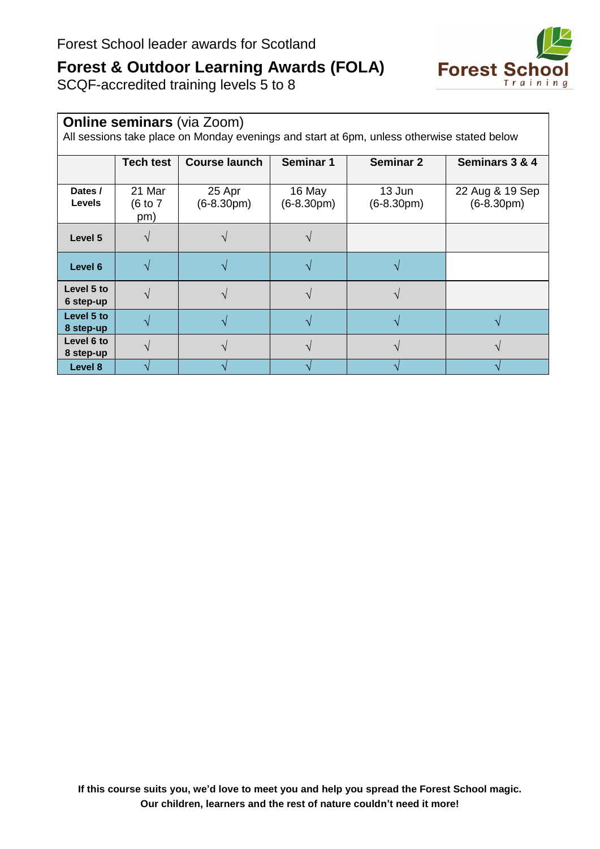

SCQF-accredited training levels 5 to 8

| <b>Online seminars (via Zoom)</b><br>All sessions take place on Monday evenings and start at 6pm, unless otherwise stated below |                          |                        |                        |                        |                                 |  |  |  |  |
|---------------------------------------------------------------------------------------------------------------------------------|--------------------------|------------------------|------------------------|------------------------|---------------------------------|--|--|--|--|
|                                                                                                                                 | <b>Tech test</b>         | <b>Course launch</b>   | <b>Seminar 1</b>       | <b>Seminar 2</b>       | Seminars 3 & 4                  |  |  |  |  |
| Dates /<br><b>Levels</b>                                                                                                        | 21 Mar<br>(6 to 7<br>pm) | 25 Apr<br>$(6-8.30pm)$ | 16 May<br>$(6-8.30pm)$ | 13 Jun<br>$(6-8.30pm)$ | 22 Aug & 19 Sep<br>$(6-8.30pm)$ |  |  |  |  |
| Level 5                                                                                                                         |                          |                        |                        |                        |                                 |  |  |  |  |
| Level 6                                                                                                                         |                          |                        |                        |                        |                                 |  |  |  |  |
| Level 5 to<br>6 step-up                                                                                                         |                          |                        |                        |                        |                                 |  |  |  |  |
| Level 5 to<br>8 step-up                                                                                                         |                          |                        |                        |                        |                                 |  |  |  |  |
| Level 6 to<br>8 step-up                                                                                                         |                          |                        |                        |                        |                                 |  |  |  |  |
| Level 8                                                                                                                         |                          |                        |                        |                        |                                 |  |  |  |  |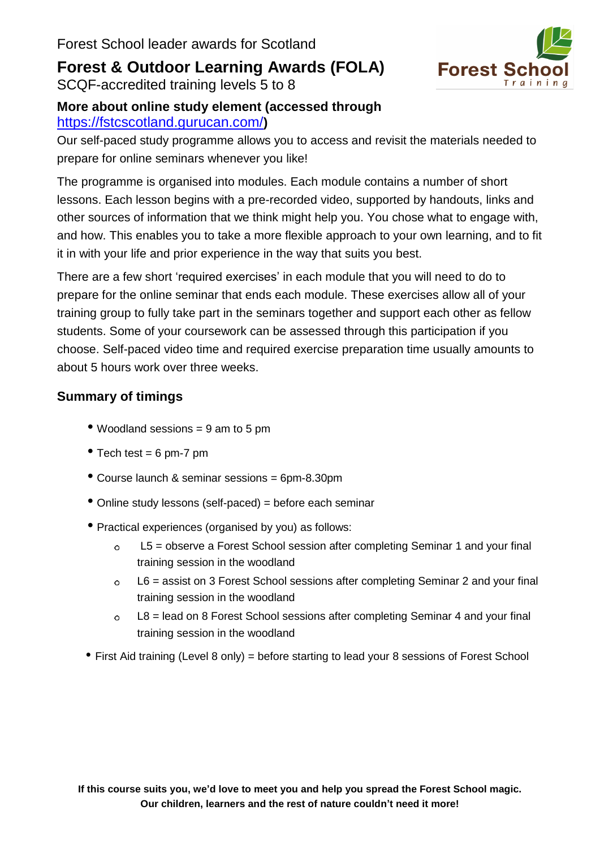SCQF-accredited training levels 5 to 8



### **More about online study element (accessed through** <https://fstcscotland.gurucan.com/>**)**

Our self-paced study programme allows you to access and revisit the materials needed to prepare for online seminars whenever you like!

The programme is organised into modules. Each module contains a number of short lessons. Each lesson begins with a pre-recorded video, supported by handouts, links and other sources of information that we think might help you. You chose what to engage with, and how. This enables you to take a more flexible approach to your own learning, and to fit it in with your life and prior experience in the way that suits you best.

There are a few short 'required exercises' in each module that you will need to do to prepare for the online seminar that ends each module. These exercises allow all of your training group to fully take part in the seminars together and support each other as fellow students. Some of your coursework can be assessed through this participation if you choose. Self-paced video time and required exercise preparation time usually amounts to about 5 hours work over three weeks.

### **Summary of timings**

- Woodland sessions <sup>=</sup> <sup>9</sup> am to <sup>5</sup> pm
- Tech test =  $6 \text{ pm-7 pm}$
- Course launch & seminar sessions <sup>=</sup> 6pm-8.30pm
- Online study lessons (self-paced) <sup>=</sup> before each seminar
- Practical experiences (organised by you) as follows:
	- $\circ$ L5 = observe a Forest School session after completing Seminar 1 and your final training session in the woodland
	- L6 = assist on 3 Forest School sessions after completing Seminar 2 and your final training session in the woodland
	- $\circ$  L8 = lead on 8 Forest School sessions after completing Seminar 4 and your final training session in the woodland
- First Aid training (Level 8 only) = before starting to lead your 8 sessions of Forest School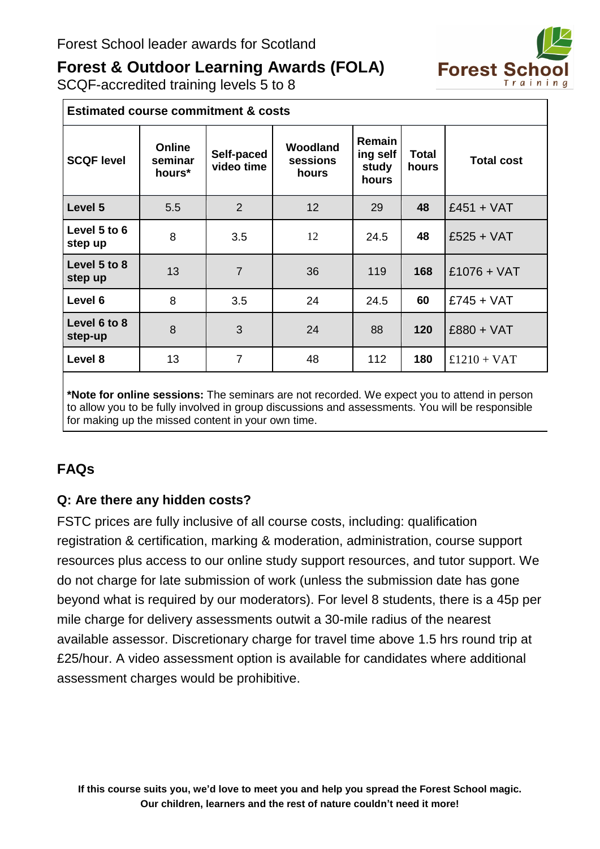

SCQF-accredited training levels 5 to 8

| <b>Estimated course commitment &amp; costs</b> |                                    |                          |                                      |                                             |                       |                   |  |
|------------------------------------------------|------------------------------------|--------------------------|--------------------------------------|---------------------------------------------|-----------------------|-------------------|--|
| <b>SCQF level</b>                              | <b>Online</b><br>seminar<br>hours* | Self-paced<br>video time | <b>Woodland</b><br>sessions<br>hours | <b>Remain</b><br>ing self<br>study<br>hours | <b>Total</b><br>hours | <b>Total cost</b> |  |
| Level 5                                        | 5.5                                | $\overline{2}$           | 12                                   | 29                                          | 48                    | $£451 + VAT$      |  |
| Level 5 to 6<br>step up                        | 8                                  | 3.5                      | 12                                   | 24.5                                        | 48                    | $£525 + VAT$      |  |
| Level 5 to 8<br>step up                        | 13                                 | $\overline{7}$           | 36                                   | 119                                         | 168                   | $£1076 + VAT$     |  |
| Level 6                                        | 8                                  | 3.5                      | 24                                   | 24.5                                        | 60                    | $£745 + VAT$      |  |
| Level 6 to 8<br>step-up                        | 8                                  | 3                        | 24                                   | 88                                          | 120                   | £880 + VAT        |  |
| Level 8                                        | 13                                 | 7                        | 48                                   | 112                                         | 180                   | $£1210 + VAT$     |  |

**\*Note for online sessions:** The seminars are not recorded. We expect you to attend in person to allow you to be fully involved in group discussions and assessments. You will be responsible for making up the missed content in your own time.

### **FAQs**

### **Q: Are there any hidden costs?**

FSTC prices are fully inclusive of all course costs, including: qualification registration & certification, marking & moderation, administration, course support resources plus access to our online study support resources, and tutor support. We do not charge for late submission of work (unless the submission date has gone beyond what is required by our moderators). For level 8 students, there is a 45p per mile charge for delivery assessments outwit a 30-mile radius of the nearest available assessor. Discretionary charge for travel time above 1.5 hrs round trip at £25/hour. A video assessment option is available for candidates where additional assessment charges would be prohibitive.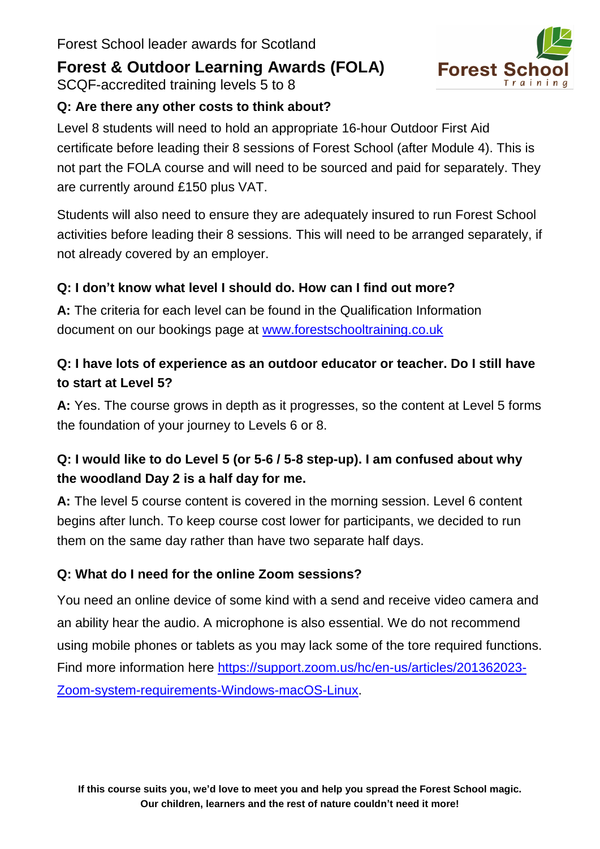SCQF-accredited training levels 5 to 8

### **Q: Are there any other costs to think about?**

Level 8 students will need to hold an appropriate 16-hour Outdoor First Aid certificate before leading their 8 sessions of Forest School (after Module 4). This is not part the FOLA course and will need to be sourced and paid for separately. They are currently around £150 plus VAT.

Students will also need to ensure they are adequately insured to run Forest School activities before leading their 8 sessions. This will need to be arranged separately, if not already covered by an employer.

### **Q: I don't know what level I should do. How can I find out more?**

**A:** The criteria for each level can be found in the Qualification Information document on our bookings page at [www.forestschooltraining.co.uk](http://www.forestschooltraining.co.uk/training/fs-training-dates-booking/)

### **Q: I have lots of experience as an outdoor educator or teacher. Do I still have to start at Level 5?**

**A:** Yes. The course grows in depth as it progresses, so the content at Level 5 forms the foundation of your journey to Levels 6 or 8.

### **Q: I would like to do Level 5 (or 5-6 / 5-8 step-up). I am confused about why the woodland Day 2 is a half day for me.**

**A:** The level 5 course content is covered in the morning session. Level 6 content begins after lunch. To keep course cost lower for participants, we decided to run them on the same day rather than have two separate half days.

### **Q: What do I need for the online Zoom sessions?**

You need an online device of some kind with a send and receive video camera and an ability hear the audio. A microphone is also essential. We do not recommend using mobile phones or tablets as you may lack some of the tore required functions. Find more information here [https://support.zoom.us/hc/en-us/articles/201362023-](https://support.zoom.us/hc/en-us/articles/201362023-Zoom-system-requirements-Windows-macOS-Linux) [Zoom-system-requirements-Windows-macOS-Linux.](https://support.zoom.us/hc/en-us/articles/201362023-Zoom-system-requirements-Windows-macOS-Linux)